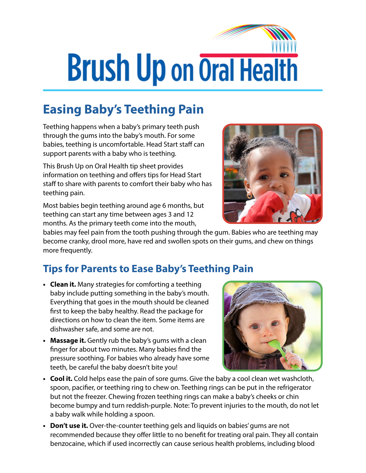## **Brush Up on Oral Health**

## **Easing Baby's Teething Pain**

Teething happens when a baby's primary teeth push through the gums into the baby's mouth. For some babies, teething is uncomfortable. Head Start staff can support parents with a baby who is teething.

This Brush Up on Oral Health tip sheet provides information on teething and offers tips for Head Start staff to share with parents to comfort their baby who has teething pain.

Most babies begin teething around age 6 months, but teething can start any time between ages 3 and 12 months. As the primary teeth come into the mouth,



babies may feel pain from the tooth pushing through the gum. Babies who are teething may become cranky, drool more, have red and swollen spots on their gums, and chew on things more frequently.

## **Tips for Parents to Ease Baby's Teething Pain**

- **• Clean it.** Many strategies for comforting a teething baby include putting something in the baby's mouth. Everything that goes in the mouth should be cleaned first to keep the baby healthy. Read the package for directions on how to clean the item. Some items are dishwasher safe, and some are not.
- **• Massage it.** Gently rub the baby's gums with a clean finger for about two minutes. Many babies find the pressure soothing. For babies who already have some teeth, be careful the baby doesn't bite you!



- **• Cool it.** Cold helps ease the pain of sore gums. Give the baby a cool clean wet washcloth, spoon, pacifier, or teething ring to chew on. Teething rings can be put in the refrigerator but not the freezer. Chewing frozen teething rings can make a baby's cheeks or chin become bumpy and turn reddish-purple. Note: To prevent injuries to the mouth, do not let a baby walk while holding a spoon.
- **• Don't use it.** Over-the-counter teething gels and liquids on babies' gums are not recommended because they offer little to no benefit for treating oral pain. They all contain benzocaine, which if used incorrectly can cause serious health problems, including blood